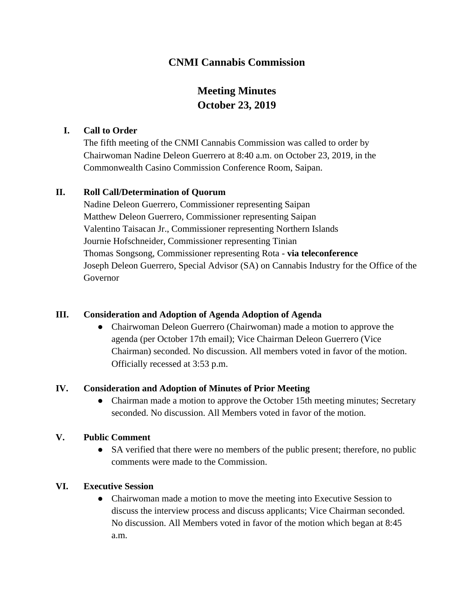## **CNMI Cannabis Commission**

# **Meeting Minutes October 23, 2019**

### **I. Call to Order**

The fifth meeting of the CNMI Cannabis Commission was called to order by Chairwoman Nadine Deleon Guerrero at 8:40 a.m. on October 23, 2019, in the Commonwealth Casino Commission Conference Room, Saipan.

### **II. Roll Call/Determination of Quorum**

Nadine Deleon Guerrero, Commissioner representing Saipan Matthew Deleon Guerrero, Commissioner representing Saipan Valentino Taisacan Jr., Commissioner representing Northern Islands Journie Hofschneider, Commissioner representing Tinian Thomas Songsong, Commissioner representing Rota - **via teleconference** Joseph Deleon Guerrero, Special Advisor (SA) on Cannabis Industry for the Office of the Governor

### **III. Consideration and Adoption of Agenda Adoption of Agenda**

• Chairwoman Deleon Guerrero (Chairwoman) made a motion to approve the agenda (per October 17th email); Vice Chairman Deleon Guerrero (Vice Chairman) seconded. No discussion. All members voted in favor of the motion. Officially recessed at 3:53 p.m.

## **IV. Consideration and Adoption of Minutes of Prior Meeting**

• Chairman made a motion to approve the October 15th meeting minutes; Secretary seconded. No discussion. All Members voted in favor of the motion.

## **V. Public Comment**

• SA verified that there were no members of the public present; therefore, no public comments were made to the Commission.

### **VI. Executive Session**

• Chairwoman made a motion to move the meeting into Executive Session to discuss the interview process and discuss applicants; Vice Chairman seconded. No discussion. All Members voted in favor of the motion which began at 8:45 a.m.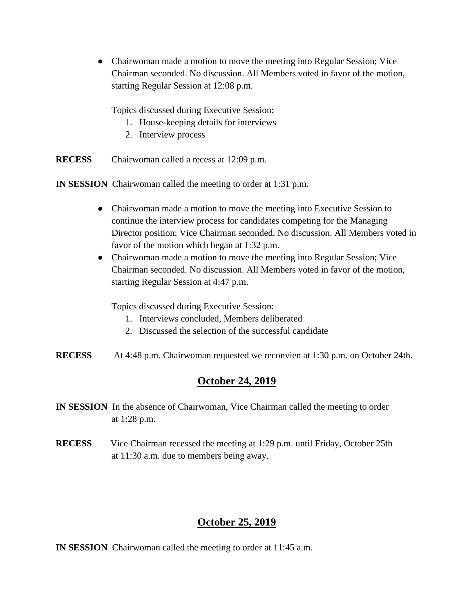● Chairwoman made a motion to move the meeting into Regular Session; Vice Chairman seconded. No discussion. All Members voted in favor of the motion, starting Regular Session at 12:08 p.m.

Topics discussed during Executive Session:

- 1. House-keeping details for interviews
- 2. Interview process

**RECESS** Chairwoman called a recess at 12:09 p.m.

**IN SESSION** Chairwoman called the meeting to order at 1:31 p.m.

- Chairwoman made a motion to move the meeting into Executive Session to continue the interview process for candidates competing for the Managing Director position; Vice Chairman seconded. No discussion. All Members voted in favor of the motion which began at 1:32 p.m.
- Chairwoman made a motion to move the meeting into Regular Session; Vice Chairman seconded. No discussion. All Members voted in favor of the motion, starting Regular Session at 4:47 p.m.

Topics discussed during Executive Session:

- 1. Interviews concluded, Members deliberated
- 2. Discussed the selection of the successful candidate

**RECESS** At 4:48 p.m. Chairwoman requested we reconvien at 1:30 p.m. on October 24th.

## **October 24, 2019**

- **IN SESSION** In the absence of Chairwoman, Vice Chairman called the meeting to order at 1:28 p.m.
- **RECESS**Vice Chairman recessed the meeting at 1:29 p.m. until Friday, October 25th at 11:30 a.m. due to members being away.

# **October 25, 2019**

**IN SESSION** Chairwoman called the meeting to order at 11:45 a.m.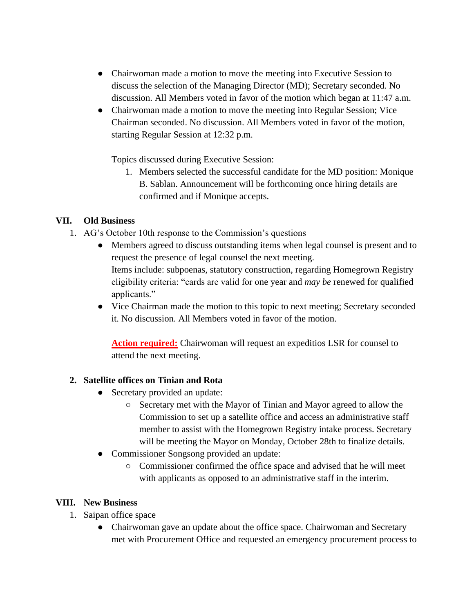- Chairwoman made a motion to move the meeting into Executive Session to discuss the selection of the Managing Director (MD); Secretary seconded. No discussion. All Members voted in favor of the motion which began at 11:47 a.m.
- Chairwoman made a motion to move the meeting into Regular Session; Vice Chairman seconded. No discussion. All Members voted in favor of the motion, starting Regular Session at 12:32 p.m.

Topics discussed during Executive Session:

1. Members selected the successful candidate for the MD position: Monique B. Sablan. Announcement will be forthcoming once hiring details are confirmed and if Monique accepts.

### **VII. Old Business**

- 1. AG's October 10th response to the Commission's questions
	- Members agreed to discuss outstanding items when legal counsel is present and to request the presence of legal counsel the next meeting. Items include: subpoenas, statutory construction, regarding Homegrown Registry eligibility criteria: "cards are valid for one year and *may be* renewed for qualified applicants."
	- Vice Chairman made the motion to this topic to next meeting; Secretary seconded it. No discussion. All Members voted in favor of the motion.

**Action required:** Chairwoman will request an expeditios LSR for counsel to attend the next meeting.

### **2. Satellite offices on Tinian and Rota**

- Secretary provided an update:
	- Secretary met with the Mayor of Tinian and Mayor agreed to allow the Commission to set up a satellite office and access an administrative staff member to assist with the Homegrown Registry intake process. Secretary will be meeting the Mayor on Monday, October 28th to finalize details.
- Commissioner Songsong provided an update:
	- Commissioner confirmed the office space and advised that he will meet with applicants as opposed to an administrative staff in the interim.

### **VIII. New Business**

- 1. Saipan office space
	- Chairwoman gave an update about the office space. Chairwoman and Secretary met with Procurement Office and requested an emergency procurement process to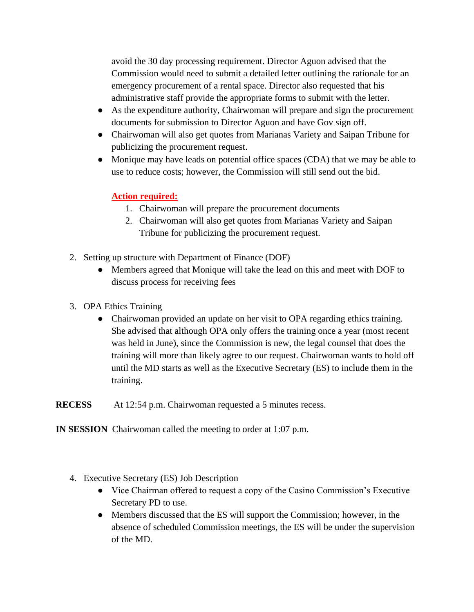avoid the 30 day processing requirement. Director Aguon advised that the Commission would need to submit a detailed letter outlining the rationale for an emergency procurement of a rental space. Director also requested that his administrative staff provide the appropriate forms to submit with the letter.

- As the expenditure authority, Chairwoman will prepare and sign the procurement documents for submission to Director Aguon and have Gov sign off.
- Chairwoman will also get quotes from Marianas Variety and Saipan Tribune for publicizing the procurement request.
- Monique may have leads on potential office spaces (CDA) that we may be able to use to reduce costs; however, the Commission will still send out the bid.

## **Action required:**

- 1. Chairwoman will prepare the procurement documents
- 2. Chairwoman will also get quotes from Marianas Variety and Saipan Tribune for publicizing the procurement request.
- 2. Setting up structure with Department of Finance (DOF)
	- Members agreed that Monique will take the lead on this and meet with DOF to discuss process for receiving fees
- 3. OPA Ethics Training
	- Chairwoman provided an update on her visit to OPA regarding ethics training. She advised that although OPA only offers the training once a year (most recent was held in June), since the Commission is new, the legal counsel that does the training will more than likely agree to our request. Chairwoman wants to hold off until the MD starts as well as the Executive Secretary (ES) to include them in the training.

**RECESS** At 12:54 p.m. Chairwoman requested a 5 minutes recess.

**IN SESSION** Chairwoman called the meeting to order at 1:07 p.m.

- 4. Executive Secretary (ES) Job Description
	- Vice Chairman offered to request a copy of the Casino Commission's Executive Secretary PD to use.
	- Members discussed that the ES will support the Commission; however, in the absence of scheduled Commission meetings, the ES will be under the supervision of the MD.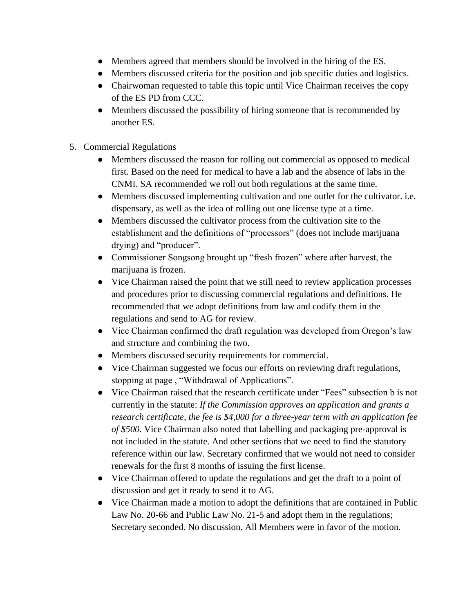- Members agreed that members should be involved in the hiring of the ES.
- Members discussed criteria for the position and job specific duties and logistics.
- Chairwoman requested to table this topic until Vice Chairman receives the copy of the ES PD from CCC.
- Members discussed the possibility of hiring someone that is recommended by another ES.
- 5. Commercial Regulations
	- Members discussed the reason for rolling out commercial as opposed to medical first. Based on the need for medical to have a lab and the absence of labs in the CNMI. SA recommended we roll out both regulations at the same time.
	- Members discussed implementing cultivation and one outlet for the cultivator. i.e. dispensary, as well as the idea of rolling out one license type at a time.
	- Members discussed the cultivator process from the cultivation site to the establishment and the definitions of "processors" (does not include marijuana drying) and "producer".
	- Commissioner Songsong brought up "fresh frozen" where after harvest, the marijuana is frozen.
	- Vice Chairman raised the point that we still need to review application processes and procedures prior to discussing commercial regulations and definitions. He recommended that we adopt definitions from law and codify them in the regulations and send to AG for review.
	- Vice Chairman confirmed the draft regulation was developed from Oregon's law and structure and combining the two.
	- Members discussed security requirements for commercial.
	- Vice Chairman suggested we focus our efforts on reviewing draft regulations, stopping at page , "Withdrawal of Applications".
	- Vice Chairman raised that the research certificate under "Fees" subsection b is not currently in the statute: *If the Commission approves an application and grants a research certificate, the fee is \$4,000 for a three-year term with an application fee of \$500.* Vice Chairman also noted that labelling and packaging pre-approval is not included in the statute. And other sections that we need to find the statutory reference within our law. Secretary confirmed that we would not need to consider renewals for the first 8 months of issuing the first license.
	- Vice Chairman offered to update the regulations and get the draft to a point of discussion and get it ready to send it to AG.
	- Vice Chairman made a motion to adopt the definitions that are contained in Public Law No. 20-66 and Public Law No. 21-5 and adopt them in the regulations; Secretary seconded. No discussion. All Members were in favor of the motion.